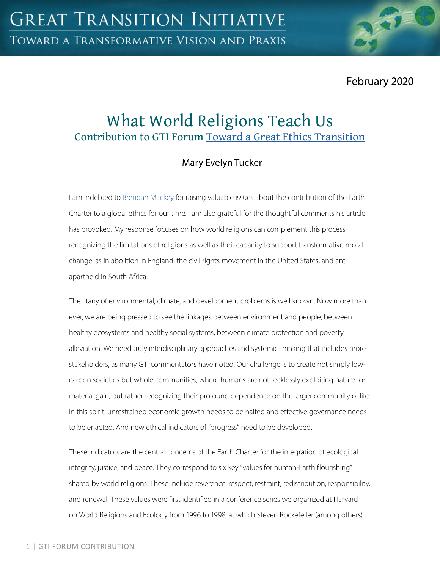February 2020

# What World Religions Teach Us Contribution to GTI Forum [Toward a Great Ethics Transition](https://greattransition.org/gti-forum/great-ethics-transition)

## Mary Evelyn Tucker

I am indebted to **Brendan Mackey** for raising valuable issues about the contribution of the Earth Charter to a global ethics for our time. I am also grateful for the thoughtful comments his article has provoked. My response focuses on how world religions can complement this process, recognizing the limitations of religions as well as their capacity to support transformative moral change, as in abolition in England, the civil rights movement in the United States, and antiapartheid in South Africa.

The litany of environmental, climate, and development problems is well known. Now more than ever, we are being pressed to see the linkages between environment and people, between healthy ecosystems and healthy social systems, between climate protection and poverty alleviation. We need truly interdisciplinary approaches and systemic thinking that includes more stakeholders, as many GTI commentators have noted. Our challenge is to create not simply lowcarbon societies but whole communities, where humans are not recklessly exploiting nature for material gain, but rather recognizing their profound dependence on the larger community of life. In this spirit, unrestrained economic growth needs to be halted and effective governance needs to be enacted. And new ethical indicators of "progress" need to be developed.

These indicators are the central concerns of the Earth Charter for the integration of ecological integrity, justice, and peace. They correspond to six key "values for human-Earth flourishing" shared by world religions. These include reverence, respect, restraint, redistribution, responsibility, and renewal. These values were first identified in a conference series we organized at Harvard on World Religions and Ecology from 1996 to 1998, at which Steven Rockefeller (among others)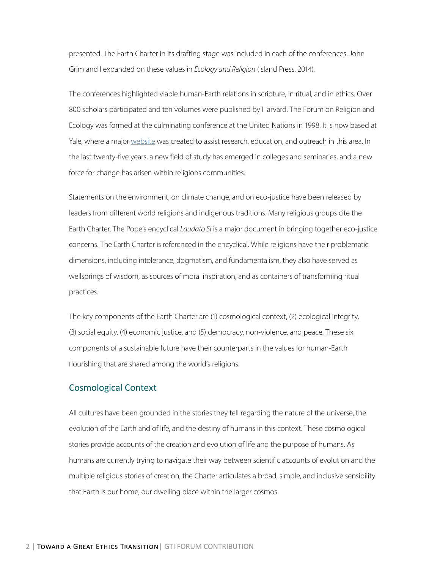presented. The Earth Charter in its drafting stage was included in each of the conferences. John Grim and I expanded on these values in *Ecology and Religion* (Island Press, 2014).

The conferences highlighted viable human-Earth relations in scripture, in ritual, and in ethics. Over 800 scholars participated and ten volumes were published by Harvard. The Forum on Religion and Ecology was formed at the culminating conference at the United Nations in 1998. It is now based at Yale, where a major [website](http://fore.yale.edu/) was created to assist research, education, and outreach in this area. In the last twenty-five years, a new field of study has emerged in colleges and seminaries, and a new force for change has arisen within religions communities.

Statements on the environment, on climate change, and on eco-justice have been released by leaders from different world religions and indigenous traditions. Many religious groups cite the Earth Charter. The Pope's encyclical *Laudato Si* is a major document in bringing together eco-justice concerns. The Earth Charter is referenced in the encyclical. While religions have their problematic dimensions, including intolerance, dogmatism, and fundamentalism, they also have served as wellsprings of wisdom, as sources of moral inspiration, and as containers of transforming ritual practices.

The key components of the Earth Charter are (1) cosmological context, (2) ecological integrity, (3) social equity, (4) economic justice, and (5) democracy, non-violence, and peace. These six components of a sustainable future have their counterparts in the values for human-Earth flourishing that are shared among the world's religions.

#### Cosmological Context

All cultures have been grounded in the stories they tell regarding the nature of the universe, the evolution of the Earth and of life, and the destiny of humans in this context. These cosmological stories provide accounts of the creation and evolution of life and the purpose of humans. As humans are currently trying to navigate their way between scientific accounts of evolution and the multiple religious stories of creation, the Charter articulates a broad, simple, and inclusive sensibility that Earth is our home, our dwelling place within the larger cosmos.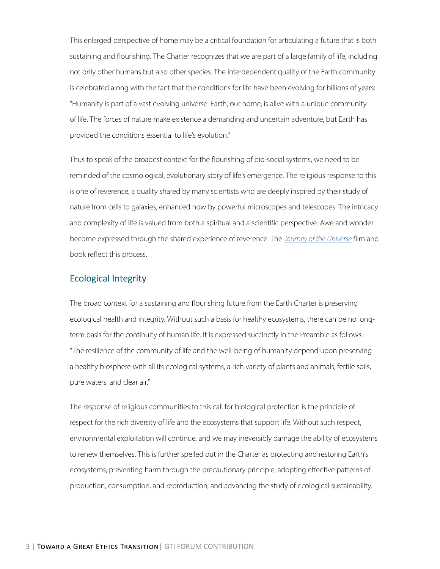This enlarged perspective of home may be a critical foundation for articulating a future that is both sustaining and flourishing. The Charter recognizes that we are part of a large family of life, including not only other humans but also other species. The interdependent quality of the Earth community is celebrated along with the fact that the conditions for life have been evolving for billions of years: "Humanity is part of a vast evolving universe. Earth, our home, is alive with a unique community of life. The forces of nature make existence a demanding and uncertain adventure, but Earth has provided the conditions essential to life's evolution."

Thus to speak of the broadest context for the flourishing of bio-social systems, we need to be reminded of the cosmological, evolutionary story of life's emergence. The religious response to this is one of reverence, a quality shared by many scientists who are deeply inspired by their study of nature from cells to galaxies, enhanced now by powerful microscopes and telescopes. The intricacy and complexity of life is valued from both a spiritual and a scientific perspective. Awe and wonder become expressed through the shared experience of reverence. The *[Journey of the Universe](https://www.journeyoftheuniverse.org/)* film and book reflect this process.

### Ecological Integrity

The broad context for a sustaining and flourishing future from the Earth Charter is preserving ecological health and integrity. Without such a basis for healthy ecosystems, there can be no longterm basis for the continuity of human life. It is expressed succinctly in the Preamble as follows: "The resilience of the community of life and the well-being of humanity depend upon preserving a healthy biosphere with all its ecological systems, a rich variety of plants and animals, fertile soils, pure waters, and clear air."

The response of religious communities to this call for biological protection is the principle of respect for the rich diversity of life and the ecosystems that support life. Without such respect, environmental exploitation will continue, and we may irreversibly damage the ability of ecosystems to renew themselves. This is further spelled out in the Charter as protecting and restoring Earth's ecosystems; preventing harm through the precautionary principle; adopting effective patterns of production, consumption, and reproduction; and advancing the study of ecological sustainability.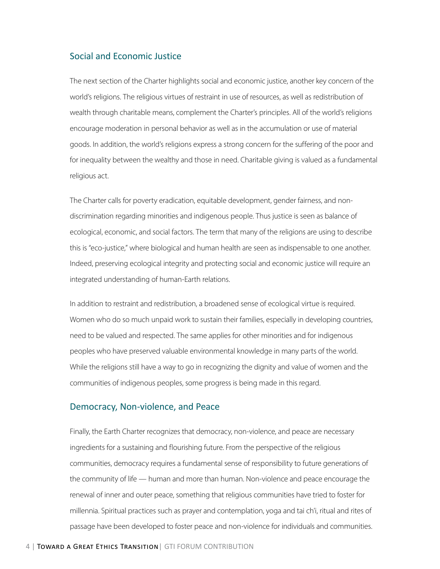#### Social and Economic Justice

The next section of the Charter highlights social and economic justice, another key concern of the world's religions. The religious virtues of restraint in use of resources, as well as redistribution of wealth through charitable means, complement the Charter's principles. All of the world's religions encourage moderation in personal behavior as well as in the accumulation or use of material goods. In addition, the world's religions express a strong concern for the suffering of the poor and for inequality between the wealthy and those in need. Charitable giving is valued as a fundamental religious act.

The Charter calls for poverty eradication, equitable development, gender fairness, and nondiscrimination regarding minorities and indigenous people. Thus justice is seen as balance of ecological, economic, and social factors. The term that many of the religions are using to describe this is "eco-justice," where biological and human health are seen as indispensable to one another. Indeed, preserving ecological integrity and protecting social and economic justice will require an integrated understanding of human-Earth relations.

In addition to restraint and redistribution, a broadened sense of ecological virtue is required. Women who do so much unpaid work to sustain their families, especially in developing countries, need to be valued and respected. The same applies for other minorities and for indigenous peoples who have preserved valuable environmental knowledge in many parts of the world. While the religions still have a way to go in recognizing the dignity and value of women and the communities of indigenous peoples, some progress is being made in this regard.

#### Democracy, Non-violence, and Peace

Finally, the Earth Charter recognizes that democracy, non-violence, and peace are necessary ingredients for a sustaining and flourishing future. From the perspective of the religious communities, democracy requires a fundamental sense of responsibility to future generations of the community of life — human and more than human. Non-violence and peace encourage the renewal of inner and outer peace, something that religious communities have tried to foster for millennia. Spiritual practices such as prayer and contemplation, yoga and tai ch'i, ritual and rites of passage have been developed to foster peace and non-violence for individuals and communities.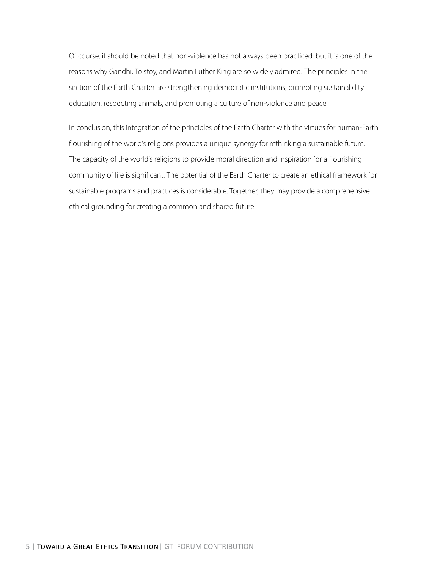Of course, it should be noted that non-violence has not always been practiced, but it is one of the reasons why Gandhi, Tolstoy, and Martin Luther King are so widely admired. The principles in the section of the Earth Charter are strengthening democratic institutions, promoting sustainability education, respecting animals, and promoting a culture of non-violence and peace.

In conclusion, this integration of the principles of the Earth Charter with the virtues for human-Earth flourishing of the world's religions provides a unique synergy for rethinking a sustainable future. The capacity of the world's religions to provide moral direction and inspiration for a flourishing community of life is significant. The potential of the Earth Charter to create an ethical framework for sustainable programs and practices is considerable. Together, they may provide a comprehensive ethical grounding for creating a common and shared future.